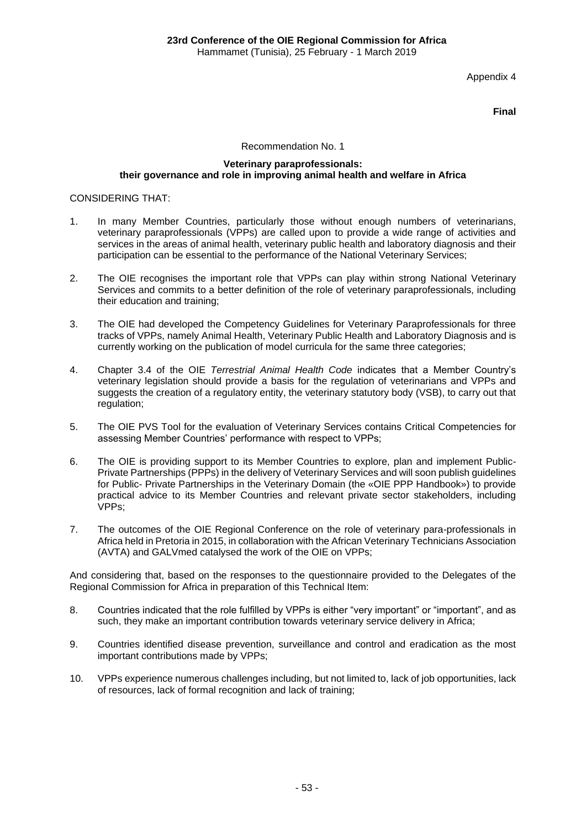Appendix 4

**Final**

## Recommendation No. 1

#### **Veterinary paraprofessionals: their governance and role in improving animal health and welfare in Africa**

## CONSIDERING THAT:

- 1. In many Member Countries, particularly those without enough numbers of veterinarians, veterinary paraprofessionals (VPPs) are called upon to provide a wide range of activities and services in the areas of animal health, veterinary public health and laboratory diagnosis and their participation can be essential to the performance of the National Veterinary Services;
- 2. The OIE recognises the important role that VPPs can play within strong National Veterinary Services and commits to a better definition of the role of veterinary paraprofessionals, including their education and training;
- 3. The OIE had developed the Competency Guidelines for Veterinary Paraprofessionals for three tracks of VPPs, namely Animal Health, Veterinary Public Health and Laboratory Diagnosis and is currently working on the publication of model curricula for the same three categories;
- 4. Chapter 3.4 of the OIE *Terrestrial Animal Health Code* indicates that a Member Country's veterinary legislation should provide a basis for the regulation of veterinarians and VPPs and suggests the creation of a regulatory entity, the veterinary statutory body (VSB), to carry out that regulation;
- 5. The OIE PVS Tool for the evaluation of Veterinary Services contains Critical Competencies for assessing Member Countries' performance with respect to VPPs;
- 6. The OIE is providing support to its Member Countries to explore, plan and implement Public-Private Partnerships (PPPs) in the delivery of Veterinary Services and will soon publish guidelines for Public- Private Partnerships in the Veterinary Domain (the «OIE PPP Handbook») to provide practical advice to its Member Countries and relevant private sector stakeholders, including VPPs;
- 7. The outcomes of the OIE Regional Conference on the role of veterinary para-professionals in Africa held in Pretoria in 2015, in collaboration with the African Veterinary Technicians Association (AVTA) and GALVmed catalysed the work of the OIE on VPPs;

And considering that, based on the responses to the questionnaire provided to the Delegates of the Regional Commission for Africa in preparation of this Technical Item:

- 8. Countries indicated that the role fulfilled by VPPs is either "very important" or "important", and as such, they make an important contribution towards veterinary service delivery in Africa;
- 9. Countries identified disease prevention, surveillance and control and eradication as the most important contributions made by VPPs;
- 10. VPPs experience numerous challenges including, but not limited to, lack of job opportunities, lack of resources, lack of formal recognition and lack of training;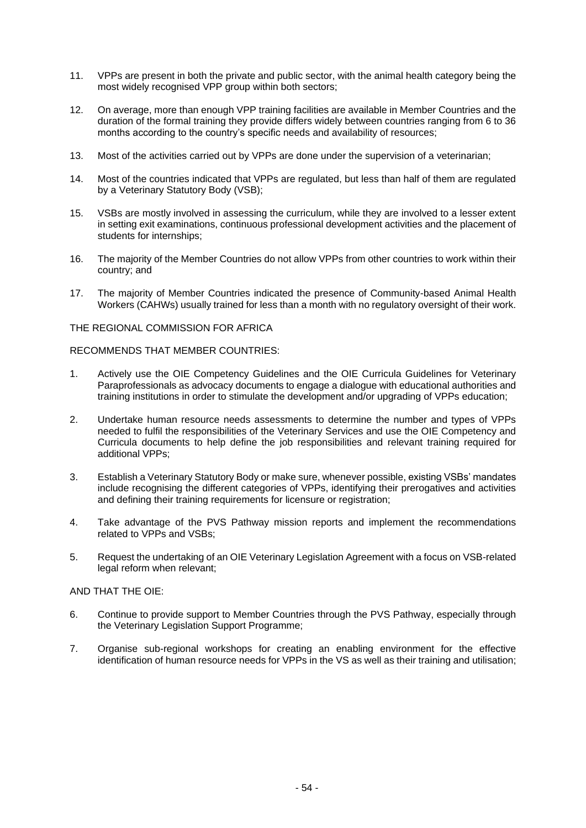- 11. VPPs are present in both the private and public sector, with the animal health category being the most widely recognised VPP group within both sectors;
- 12. On average, more than enough VPP training facilities are available in Member Countries and the duration of the formal training they provide differs widely between countries ranging from 6 to 36 months according to the country's specific needs and availability of resources;
- 13. Most of the activities carried out by VPPs are done under the supervision of a veterinarian;
- 14. Most of the countries indicated that VPPs are regulated, but less than half of them are regulated by a Veterinary Statutory Body (VSB);
- 15. VSBs are mostly involved in assessing the curriculum, while they are involved to a lesser extent in setting exit examinations, continuous professional development activities and the placement of students for internships;
- 16. The majority of the Member Countries do not allow VPPs from other countries to work within their country; and
- 17. The majority of Member Countries indicated the presence of Community-based Animal Health Workers (CAHWs) usually trained for less than a month with no regulatory oversight of their work.

## THE REGIONAL COMMISSION FOR AFRICA

### RECOMMENDS THAT MEMBER COUNTRIES:

- 1. Actively use the OIE Competency Guidelines and the OIE Curricula Guidelines for Veterinary Paraprofessionals as advocacy documents to engage a dialogue with educational authorities and training institutions in order to stimulate the development and/or upgrading of VPPs education;
- 2. Undertake human resource needs assessments to determine the number and types of VPPs needed to fulfil the responsibilities of the Veterinary Services and use the OIE Competency and Curricula documents to help define the job responsibilities and relevant training required for additional VPPs;
- 3. Establish a Veterinary Statutory Body or make sure, whenever possible, existing VSBs' mandates include recognising the different categories of VPPs, identifying their prerogatives and activities and defining their training requirements for licensure or registration;
- 4. Take advantage of the PVS Pathway mission reports and implement the recommendations related to VPPs and VSBs:
- 5. Request the undertaking of an OIE Veterinary Legislation Agreement with a focus on VSB-related legal reform when relevant;

# AND THAT THE OIE:

- 6. Continue to provide support to Member Countries through the PVS Pathway, especially through the Veterinary Legislation Support Programme;
- 7. Organise sub-regional workshops for creating an enabling environment for the effective identification of human resource needs for VPPs in the VS as well as their training and utilisation;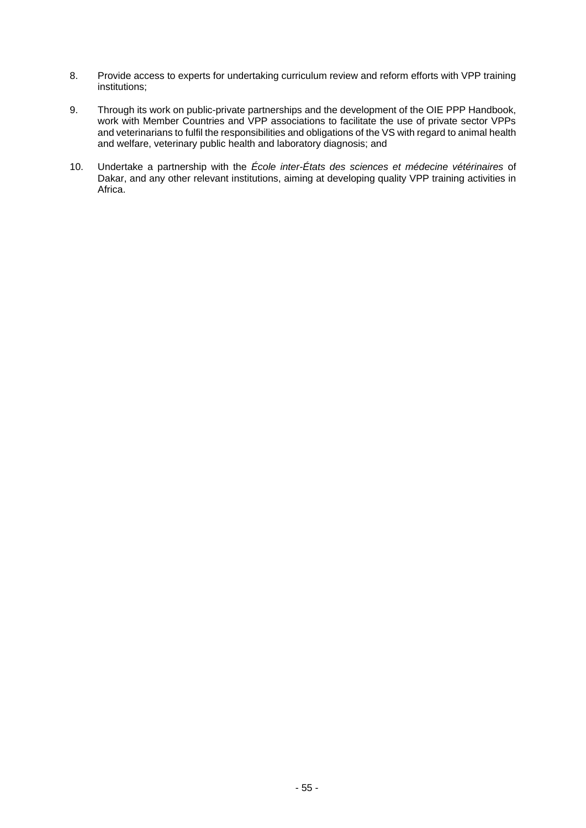- 8. Provide access to experts for undertaking curriculum review and reform efforts with VPP training institutions;
- 9. Through its work on public-private partnerships and the development of the OIE PPP Handbook, work with Member Countries and VPP associations to facilitate the use of private sector VPPs and veterinarians to fulfil the responsibilities and obligations of the VS with regard to animal health and welfare, veterinary public health and laboratory diagnosis; and
- 10. Undertake a partnership with the *École inter-États des sciences et médecine vétérinaires* of Dakar, and any other relevant institutions, aiming at developing quality VPP training activities in Africa.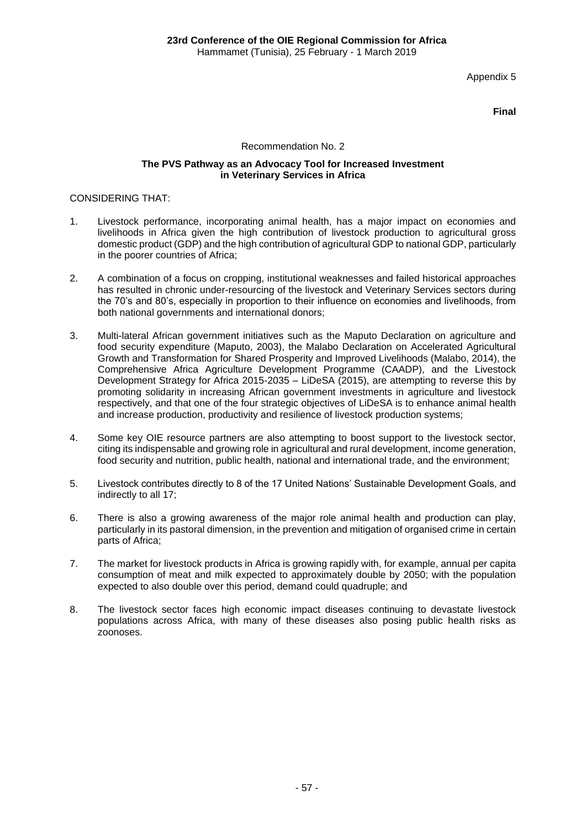Appendix 5

**Final**

## Recommendation No. 2

#### **The PVS Pathway as an Advocacy Tool for Increased Investment in Veterinary Services in Africa**

## CONSIDERING THAT:

- 1. Livestock performance, incorporating animal health, has a major impact on economies and livelihoods in Africa given the high contribution of livestock production to agricultural gross domestic product (GDP) and the high contribution of agricultural GDP to national GDP, particularly in the poorer countries of Africa;
- 2. A combination of a focus on cropping, institutional weaknesses and failed historical approaches has resulted in chronic under-resourcing of the livestock and Veterinary Services sectors during the 70's and 80's, especially in proportion to their influence on economies and livelihoods, from both national governments and international donors;
- 3. Multi-lateral African government initiatives such as the Maputo Declaration on agriculture and food security expenditure (Maputo, 2003), the Malabo Declaration on Accelerated Agricultural Growth and Transformation for Shared Prosperity and Improved Livelihoods (Malabo, 2014), the Comprehensive Africa Agriculture Development Programme (CAADP), and the Livestock Development Strategy for Africa 2015-2035 – LiDeSA (2015), are attempting to reverse this by promoting solidarity in increasing African government investments in agriculture and livestock respectively, and that one of the four strategic objectives of LiDeSA is to enhance animal health and increase production, productivity and resilience of livestock production systems;
- 4. Some key OIE resource partners are also attempting to boost support to the livestock sector, citing its indispensable and growing role in agricultural and rural development, income generation, food security and nutrition, public health, national and international trade, and the environment;
- 5. Livestock contributes directly to 8 of the 17 United Nations' Sustainable Development Goals, and indirectly to all 17;
- 6. There is also a growing awareness of the major role animal health and production can play, particularly in its pastoral dimension, in the prevention and mitigation of organised crime in certain parts of Africa;
- 7. The market for livestock products in Africa is growing rapidly with, for example, annual per capita consumption of meat and milk expected to approximately double by 2050; with the population expected to also double over this period, demand could quadruple; and
- 8. The livestock sector faces high economic impact diseases continuing to devastate livestock populations across Africa, with many of these diseases also posing public health risks as zoonoses.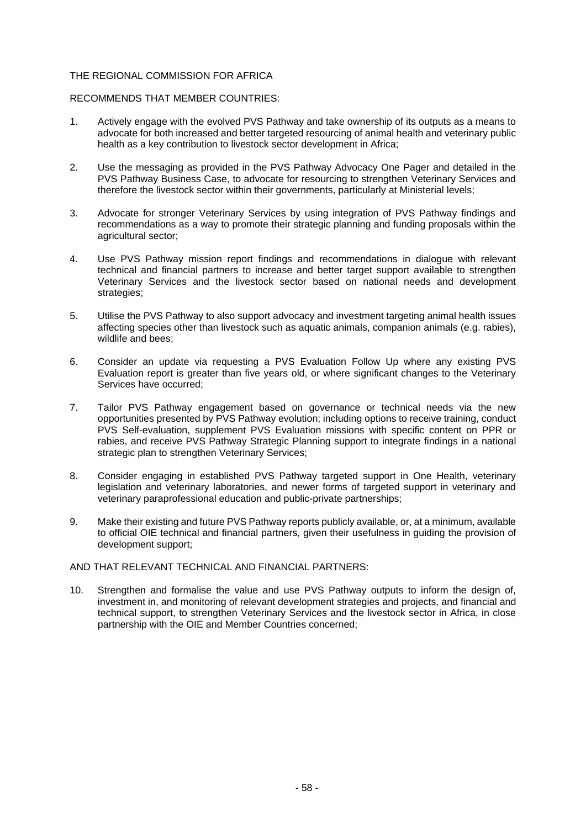## THE REGIONAL COMMISSION FOR AFRICA

## RECOMMENDS THAT MEMBER COUNTRIES:

- 1. Actively engage with the evolved PVS Pathway and take ownership of its outputs as a means to advocate for both increased and better targeted resourcing of animal health and veterinary public health as a key contribution to livestock sector development in Africa;
- 2. Use the messaging as provided in the PVS Pathway Advocacy One Pager and detailed in the PVS Pathway Business Case, to advocate for resourcing to strengthen Veterinary Services and therefore the livestock sector within their governments, particularly at Ministerial levels;
- 3. Advocate for stronger Veterinary Services by using integration of PVS Pathway findings and recommendations as a way to promote their strategic planning and funding proposals within the agricultural sector;
- 4. Use PVS Pathway mission report findings and recommendations in dialogue with relevant technical and financial partners to increase and better target support available to strengthen Veterinary Services and the livestock sector based on national needs and development strategies;
- 5. Utilise the PVS Pathway to also support advocacy and investment targeting animal health issues affecting species other than livestock such as aquatic animals, companion animals (e.g. rabies), wildlife and bees;
- 6. Consider an update via requesting a PVS Evaluation Follow Up where any existing PVS Evaluation report is greater than five years old, or where significant changes to the Veterinary Services have occurred;
- 7. Tailor PVS Pathway engagement based on governance or technical needs via the new opportunities presented by PVS Pathway evolution; including options to receive training, conduct PVS Self-evaluation, supplement PVS Evaluation missions with specific content on PPR or rabies, and receive PVS Pathway Strategic Planning support to integrate findings in a national strategic plan to strengthen Veterinary Services;
- 8. Consider engaging in established PVS Pathway targeted support in One Health, veterinary legislation and veterinary laboratories, and newer forms of targeted support in veterinary and veterinary paraprofessional education and public-private partnerships;
- 9. Make their existing and future PVS Pathway reports publicly available, or, at a minimum, available to official OIE technical and financial partners, given their usefulness in guiding the provision of development support;

#### AND THAT RELEVANT TECHNICAL AND FINANCIAL PARTNERS:

10. Strengthen and formalise the value and use PVS Pathway outputs to inform the design of, investment in, and monitoring of relevant development strategies and projects, and financial and technical support, to strengthen Veterinary Services and the livestock sector in Africa, in close partnership with the OIE and Member Countries concerned;